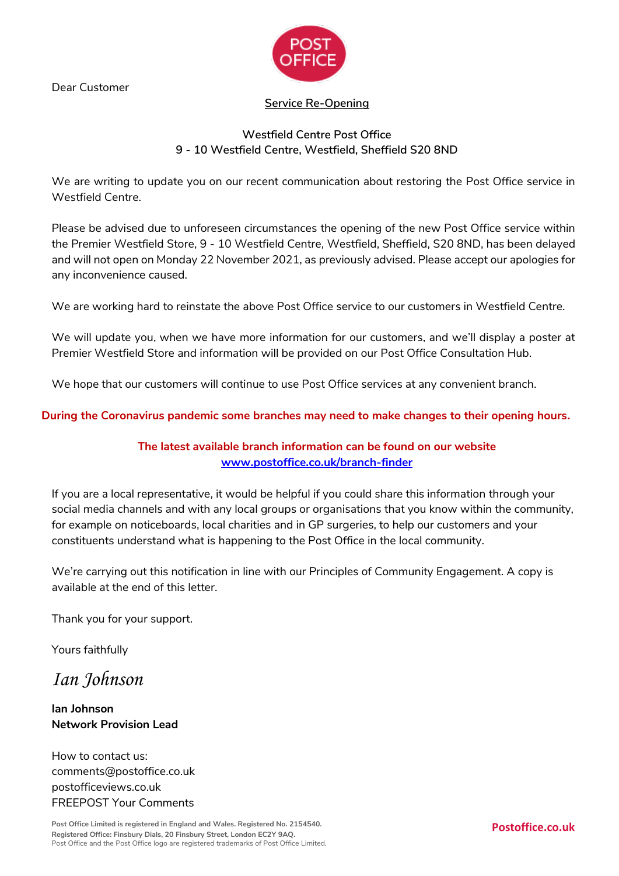Dear Customer



### **Service Re-Opening**

# **Westfield Centre Post Office 9 - 10 Westfield Centre, Westfield, Sheffield S20 8ND**

We are writing to update you on our recent communication about restoring the Post Office service in Westfield Centre.

Please be advised due to unforeseen circumstances the opening of the new Post Office service within the Premier Westfield Store, 9 - 10 Westfield Centre, Westfield, Sheffield, S20 8ND, has been delayed and will not open on Monday 22 November 2021, as previously advised. Please accept our apologies for any inconvenience caused.

We are working hard to reinstate the above Post Office service to our customers in Westfield Centre.

We will update you, when we have more information for our customers, and we'll display a poster at Premier Westfield Store and information will be provided on our Post Office Consultation Hub.

We hope that our customers will continue to use Post Office services at any convenient branch.

## **During the Coronavirus pandemic some branches may need to make changes to their opening hours.**

# **The latest available branch information can be found on our website [www.postoffice.co.uk/branch-finder](http://www.postoffice.co.uk/branch-finder)**

If you are a local representative, it would be helpful if you could share this information through your social media channels and with any local groups or organisations that you know within the community, for example on noticeboards, local charities and in GP surgeries, to help our customers and your constituents understand what is happening to the Post Office in the local community.

We're carrying out this notification in line with our Principles of Community Engagement. A copy is available at the end of this letter.

Thank you for your support.

Yours faithfully

*Ian Johnson*

**Ian Johnson Network Provision Lead**

How to contact us: comments@postoffice.co.uk postofficeviews.co.uk FREEPOST Your Comments